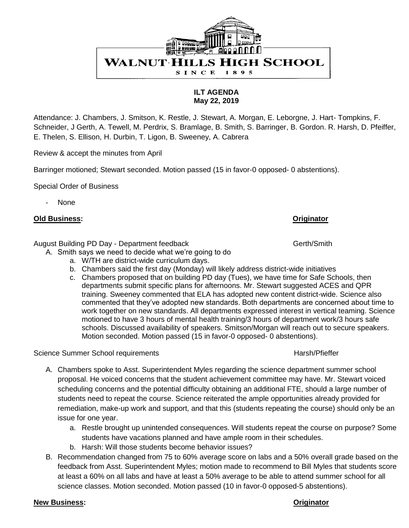

**ILT AGENDA May 22, 2019**

Attendance: J. Chambers, J. Smitson, K. Restle, J. Stewart, A. Morgan, E. Leborgne, J. Hart- Tompkins, F. Schneider, J Gerth, A. Tewell, M. Perdrix, S. Bramlage, B. Smith, S. Barringer, B. Gordon. R. Harsh, D. Pfeiffer, E. Thelen, S. Ellison, H. Durbin, T. Ligon, B. Sweeney, A. Cabrera

Review & accept the minutes from April

Barringer motioned; Stewart seconded. Motion passed (15 in favor-0 opposed- 0 abstentions).

Special Order of Business

None

## **Old Business: Originator**

August Building PD Day - Department feedback Gerth/Smith

- A. Smith says we need to decide what we're going to do
	- a. W/TH are district-wide curriculum days.
	- b. Chambers said the first day (Monday) will likely address district-wide initiatives
	- c. Chambers proposed that on building PD day (Tues), we have time for Safe Schools, then departments submit specific plans for afternoons. Mr. Stewart suggested ACES and QPR training. Sweeney commented that ELA has adopted new content district-wide. Science also commented that they've adopted new standards. Both departments are concerned about time to work together on new standards. All departments expressed interest in vertical teaming. Science motioned to have 3 hours of mental health training/3 hours of department work/3 hours safe schools. Discussed availability of speakers. Smitson/Morgan will reach out to secure speakers. Motion seconded. Motion passed (15 in favor-0 opposed- 0 abstentions).

Science Summer School requirements **Harsh**/Pfieffer **Harsh**/Pfieffer

- A. Chambers spoke to Asst. Superintendent Myles regarding the science department summer school proposal. He voiced concerns that the student achievement committee may have. Mr. Stewart voiced scheduling concerns and the potential difficulty obtaining an additional FTE, should a large number of students need to repeat the course. Science reiterated the ample opportunities already provided for remediation, make-up work and support, and that this (students repeating the course) should only be an issue for one year.
	- a. Restle brought up unintended consequences. Will students repeat the course on purpose? Some students have vacations planned and have ample room in their schedules.
	- b. Harsh: Will those students become behavior issues?
- B. Recommendation changed from 75 to 60% average score on labs and a 50% overall grade based on the feedback from Asst. Superintendent Myles; motion made to recommend to Bill Myles that students score at least a 60% on all labs and have at least a 50% average to be able to attend summer school for all science classes. Motion seconded. Motion passed (10 in favor-0 opposed-5 abstentions).

### **New Business: Originator**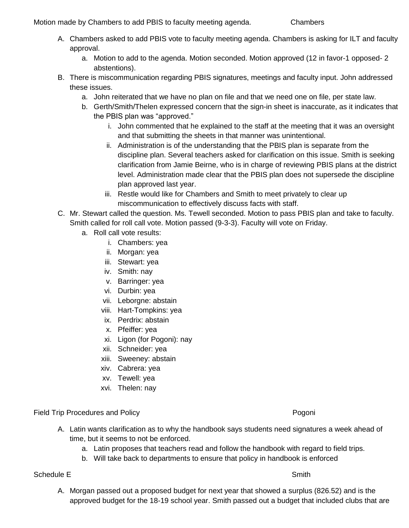Motion made by Chambers to add PBIS to faculty meeting agenda. Chambers

- A. Chambers asked to add PBIS vote to faculty meeting agenda. Chambers is asking for ILT and faculty approval.
	- a. Motion to add to the agenda. Motion seconded. Motion approved (12 in favor-1 opposed- 2 abstentions).
- B. There is miscommunication regarding PBIS signatures, meetings and faculty input. John addressed these issues.
	- a. John reiterated that we have no plan on file and that we need one on file, per state law.
	- b. Gerth/Smith/Thelen expressed concern that the sign-in sheet is inaccurate, as it indicates that the PBIS plan was "approved."
		- i. John commented that he explained to the staff at the meeting that it was an oversight and that submitting the sheets in that manner was unintentional.
		- ii. Administration is of the understanding that the PBIS plan is separate from the discipline plan. Several teachers asked for clarification on this issue. Smith is seeking clarification from Jamie Beirne, who is in charge of reviewing PBIS plans at the district level. Administration made clear that the PBIS plan does not supersede the discipline plan approved last year.
		- iii. Restle would like for Chambers and Smith to meet privately to clear up miscommunication to effectively discuss facts with staff.
- C. Mr. Stewart called the question. Ms. Tewell seconded. Motion to pass PBIS plan and take to faculty. Smith called for roll call vote. Motion passed (9-3-3). Faculty will vote on Friday.
	- a. Roll call vote results:
		- i. Chambers: yea
		- ii. Morgan: yea
		- iii. Stewart: yea
		- iv. Smith: nay
		- v. Barringer: yea
		- vi. Durbin: yea
		- vii. Leborgne: abstain
		- viii. Hart-Tompkins: yea
		- ix. Perdrix: abstain
		- x. Pfeiffer: yea
		- xi. Ligon (for Pogoni): nay
		- xii. Schneider: yea
		- xiii. Sweeney: abstain
		- xiv. Cabrera: yea
		- xv. Tewell: yea
		- xvi. Thelen: nay

Field Trip Procedures and Policy **Procedures and Policy** Pogoni

- A. Latin wants clarification as to why the handbook says students need signatures a week ahead of time, but it seems to not be enforced.
	- a. Latin proposes that teachers read and follow the handbook with regard to field trips.
	- b. Will take back to departments to ensure that policy in handbook is enforced

Schedule E Schedule E Schedule E Smith

A. Morgan passed out a proposed budget for next year that showed a surplus (826.52) and is the approved budget for the 18-19 school year. Smith passed out a budget that included clubs that are